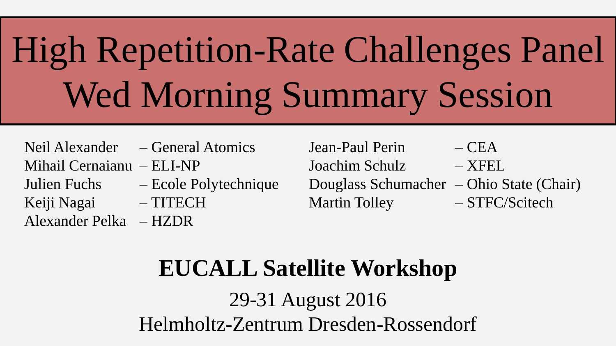# High Repetition-Rate Challenges Panel 1 Wed Morning Summary Session

Neil Alexander – General Atomics Jean-Paul Perin – CEA

Alexander Pelka – HZDR

Mihail Cernaianu – ELI-NP Joachim Schulz – XFEL Julien Fuchs – Ecole Polytechnique Douglass Schumacher – Ohio State (Chair) Keiji Nagai – TITECH Martin Tolley – STFC/Scitech

### **EUCALL Satellite Workshop**

29-31 August 2016 Helmholtz-Zentrum Dresden-Rossendorf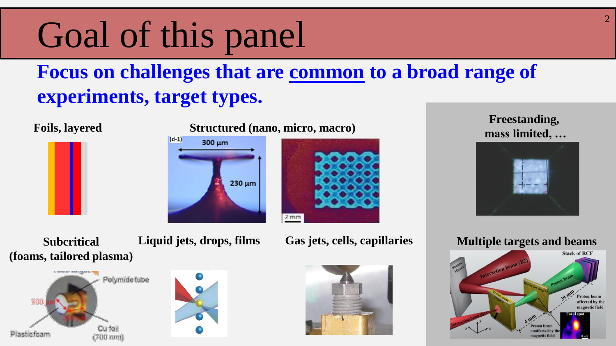## Goal of this panel

### **Focus on challenges that are common to a broad range of experiments, target types.**

#### **Foils, layered Structured (nano, micro, macro)**



### $(d-1)$ 300 um 230 um



#### **Freestanding, mass limited, …**



**Subcritical (foams, tailored plasma)**





**Liquid jets, drops, films Gas jets, cells, capillaries**



#### **Multiple targets and beams**

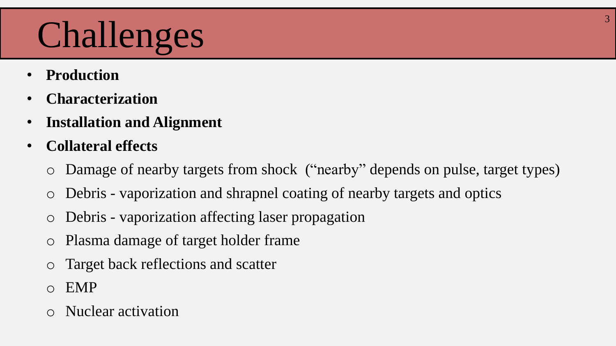# Challenges 33

- **Production**
- **Characterization**
- **Installation and Alignment**
- **Collateral effects**
	- o Damage of nearby targets from shock ("nearby" depends on pulse, target types)
	- o Debris vaporization and shrapnel coating of nearby targets and optics
	- Debris vaporization affecting laser propagation
	- o Plasma damage of target holder frame
	- Target back reflections and scatter
	- o EMP
	- Nuclear activation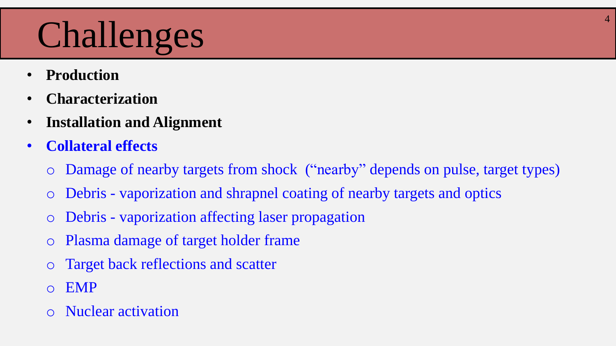# Challenges 44

- **Production**
- **Characterization**
- **Installation and Alignment**
- **Collateral effects**
	- o Damage of nearby targets from shock ("nearby" depends on pulse, target types)
	- o Debris vaporization and shrapnel coating of nearby targets and optics
	- o Debris vaporization affecting laser propagation
	- o Plasma damage of target holder frame
	- o Target back reflections and scatter
	- o EMP
	- Nuclear activation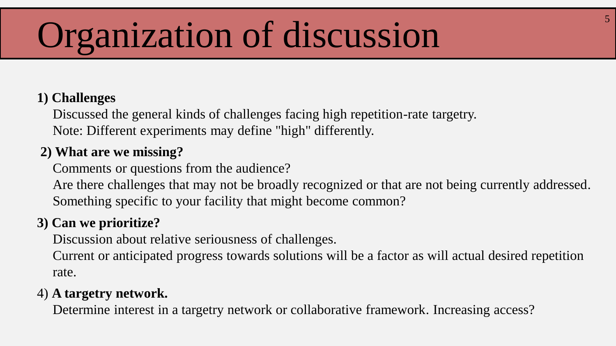# Organization of discussion

#### **1) Challenges**

Discussed the general kinds of challenges facing high repetition-rate targetry. Note: Different experiments may define "high" differently.

#### **2) What are we missing?**

Comments or questions from the audience?

Are there challenges that may not be broadly recognized or that are not being currently addressed. Something specific to your facility that might become common?

#### **3) Can we prioritize?**

Discussion about relative seriousness of challenges.

Current or anticipated progress towards solutions will be a factor as will actual desired repetition rate.

#### 4) **A targetry network.**

Determine interest in a targetry network or collaborative framework. Increasing access?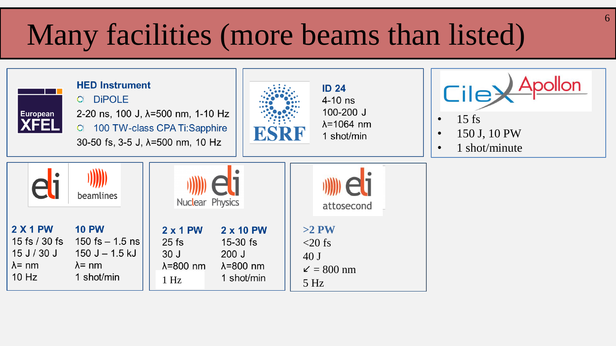### Many facilities (more beams than listed)

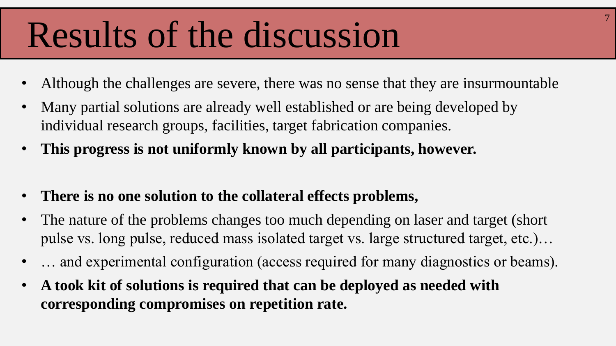## Results of the discussion

• Although the challenges are severe, there was no sense that they are insurmountable

- Many partial solutions are already well established or are being developed by individual research groups, facilities, target fabrication companies.
- **This progress is not uniformly known by all participants, however.**
- **There is no one solution to the collateral effects problems,**
- The nature of the problems changes too much depending on laser and target (short pulse vs. long pulse, reduced mass isolated target vs. large structured target, etc.)…
- ... and experimental configuration (access required for many diagnostics or beams).
- **A took kit of solutions is required that can be deployed as needed with corresponding compromises on repetition rate.**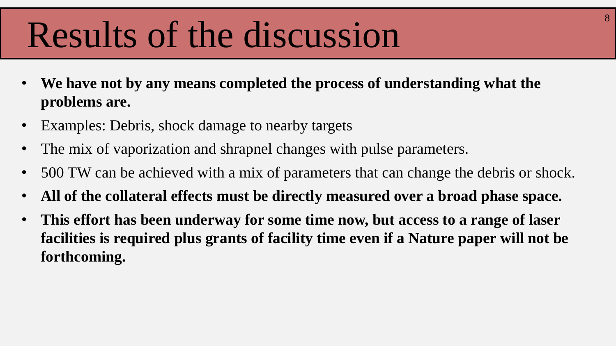## Results of the discussion

- **We have not by any means completed the process of understanding what the problems are.**
- Examples: Debris, shock damage to nearby targets
- The mix of vaporization and shrapnel changes with pulse parameters.
- 500 TW can be achieved with a mix of parameters that can change the debris or shock.
- **All of the collateral effects must be directly measured over a broad phase space.**
- **This effort has been underway for some time now, but access to a range of laser facilities is required plus grants of facility time even if a Nature paper will not be forthcoming.**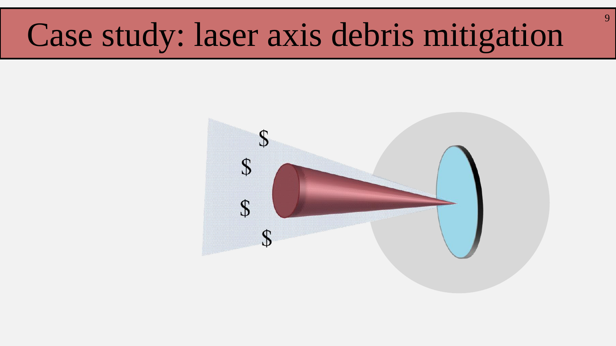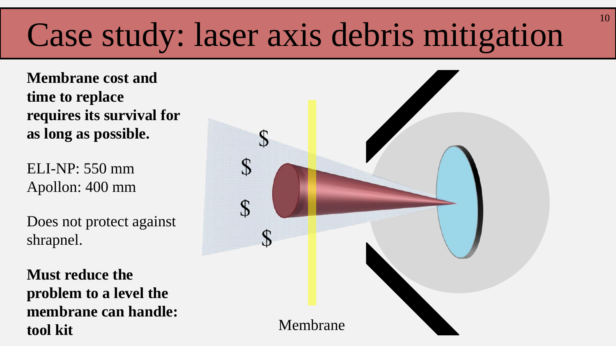**Membrane cost and time to replace requires its survival for as long as possible.**

ELI-NP: 550 mm Apollon: 400 mm

Does not protect against shrapnel.

**Must reduce the problem to a level the membrane can handle: tool kit**

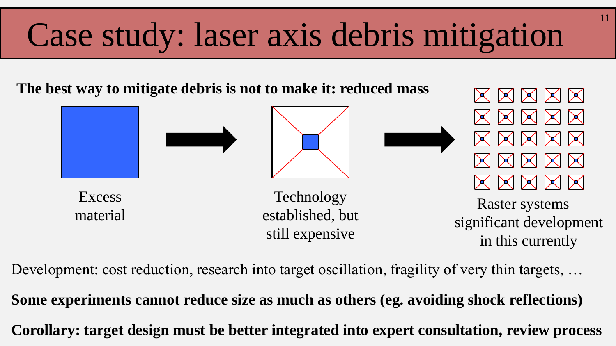**The best way to mitigate debris is not to make it: reduced mass**



11

Development: cost reduction, research into target oscillation, fragility of very thin targets, ...

**Corollary: target design must be better integrated into expert consultation, review process Some experiments cannot reduce size as much as others (eg. avoiding shock reflections)**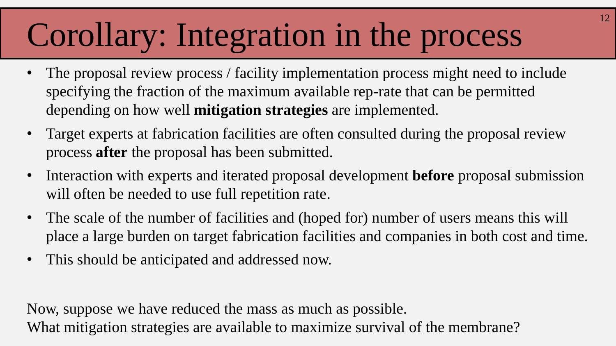## Corollary: Integration in the process

- The proposal review process / facility implementation process might need to include specifying the fraction of the maximum available rep-rate that can be permitted depending on how well **mitigation strategies** are implemented.
- Target experts at fabrication facilities are often consulted during the proposal review process **after** the proposal has been submitted.
- Interaction with experts and iterated proposal development **before** proposal submission will often be needed to use full repetition rate.
- The scale of the number of facilities and (hoped for) number of users means this will place a large burden on target fabrication facilities and companies in both cost and time.
- This should be anticipated and addressed now.

Now, suppose we have reduced the mass as much as possible. What mitigation strategies are available to maximize survival of the membrane?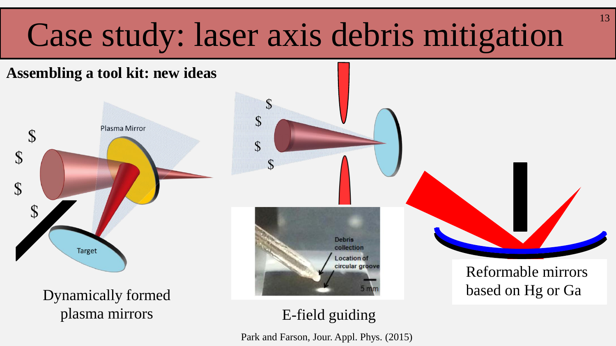$\mathcal{S}$ 

 $\mathcal{S}$ 





plasma mirrors E-field guiding



Park and Farson, Jour. Appl. Phys. (2015)

Reformable mirrors